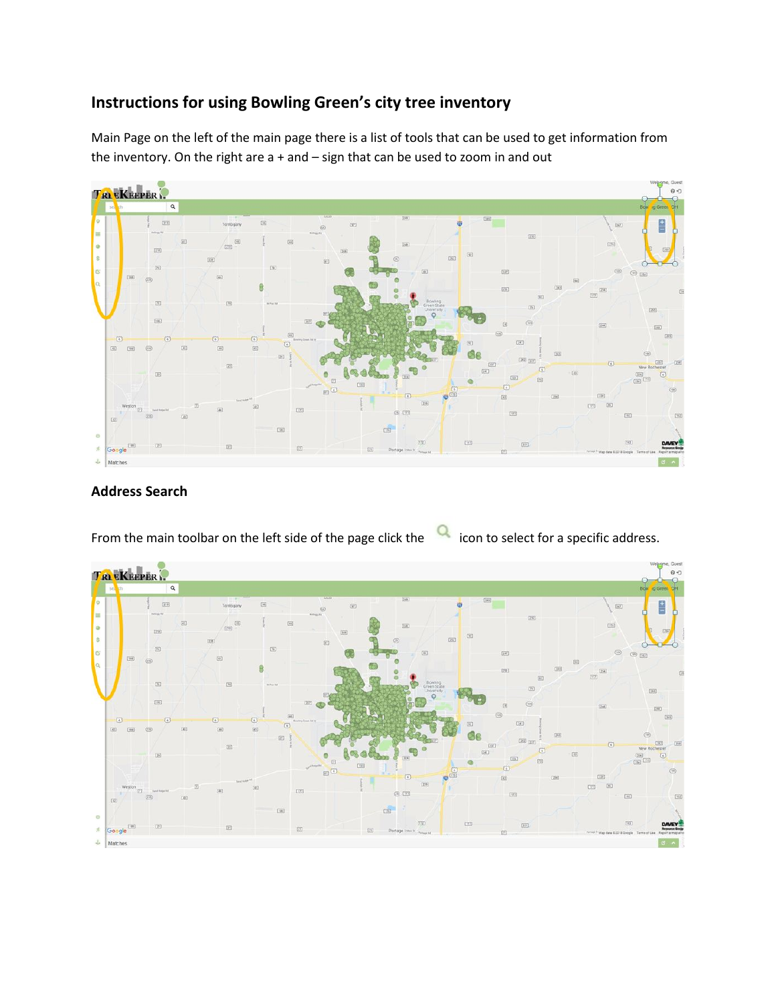## **Instructions for using Bowling Green's city tree inventory**

Main Page on the left of the main page there is a list of tools that can be used to get information from the inventory. On the right are  $a + and - sign$  that can be used to zoom in and out



## **Address Search**

From the main toolbar on the left side of the page click the **interpolaty contingle in the main toolbar** on the left side of the page click the **interpolaty in the main toolbar** 

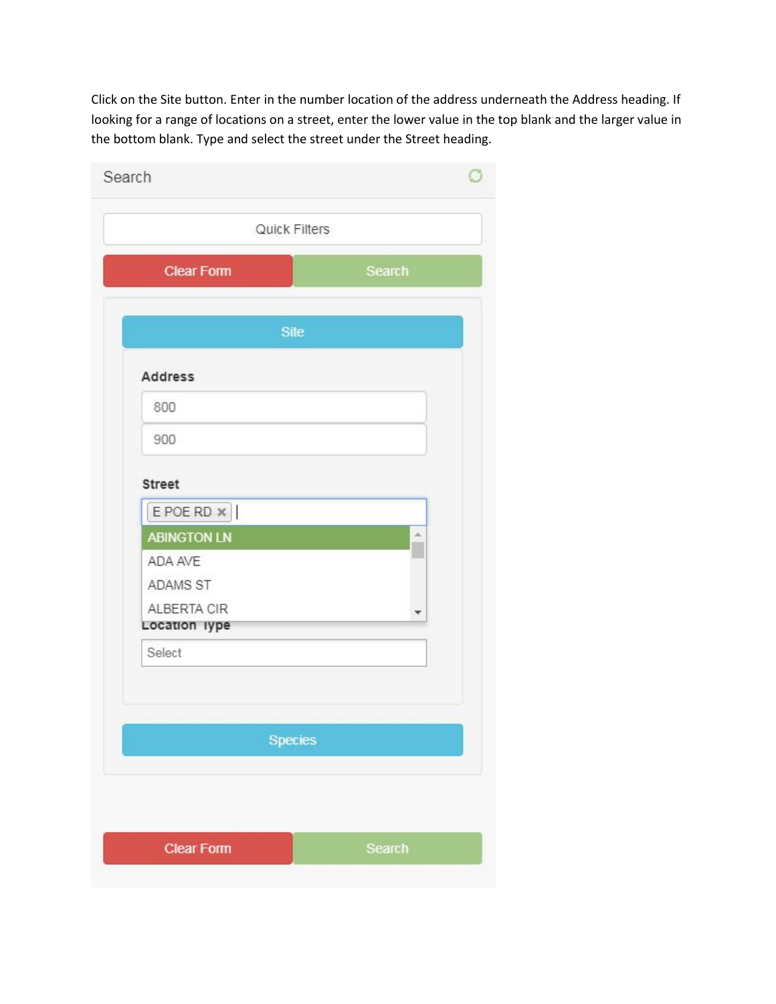Click on the Site button. Enter in the number location of the address underneath the Address heading. If looking for a range of locations on a street, enter the lower value in the top blank and the larger value in the bottom blank. Type and select the street under the Street heading.

| Search                       |                |
|------------------------------|----------------|
|                              | Quick Filters  |
| <b>Clear Form</b>            | <b>Search</b>  |
|                              | <b>Site</b>    |
|                              |                |
| <b>Address</b>               |                |
| 800                          |                |
| 900                          |                |
| <b>Street</b>                |                |
| E POE RD X                   |                |
| <b>ABINGTON LN</b>           | À              |
| ADA AVE                      |                |
| ADAMS ST                     |                |
| ALBERTA CIR<br>Location lype |                |
| Select                       |                |
|                              |                |
|                              |                |
|                              | <b>Species</b> |
|                              |                |
|                              |                |
| <b>Clear Form</b>            | <b>Search</b>  |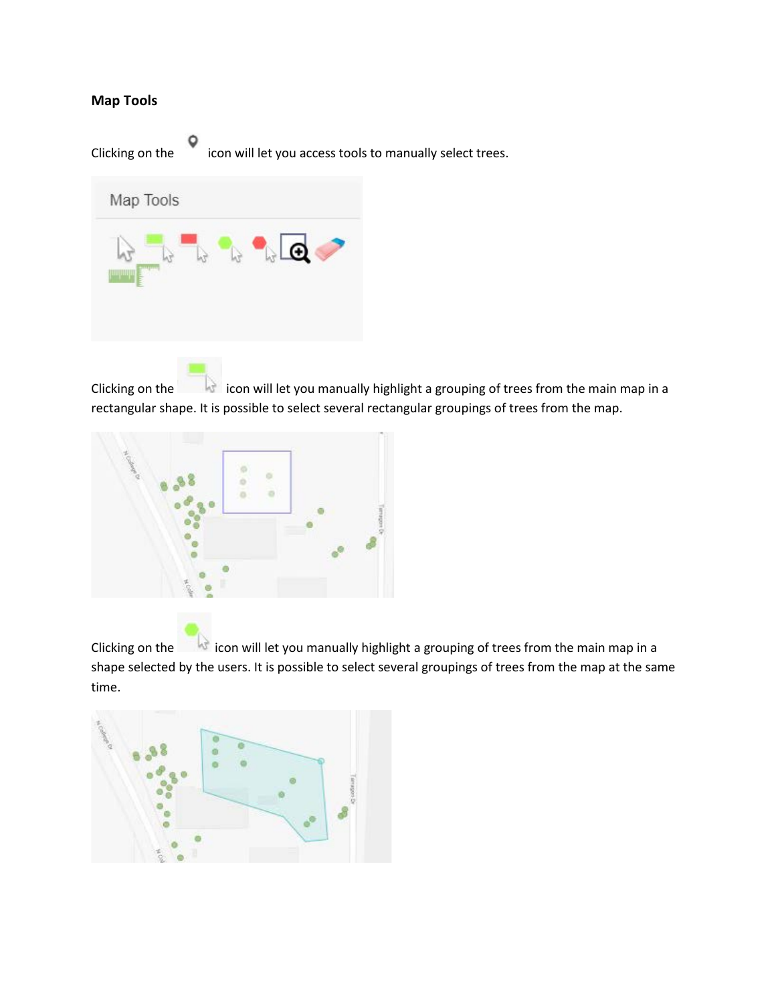## **Map Tools**

Clicking on the icon will let you access tools to manually select trees.



Clicking on the icon will let you manually highlight a grouping of trees from the main map in a rectangular shape. It is possible to select several rectangular groupings of trees from the map.



Clicking on the icon will let you manually highlight a grouping of trees from the main map in a shape selected by the users. It is possible to select several groupings of trees from the map at the same time.

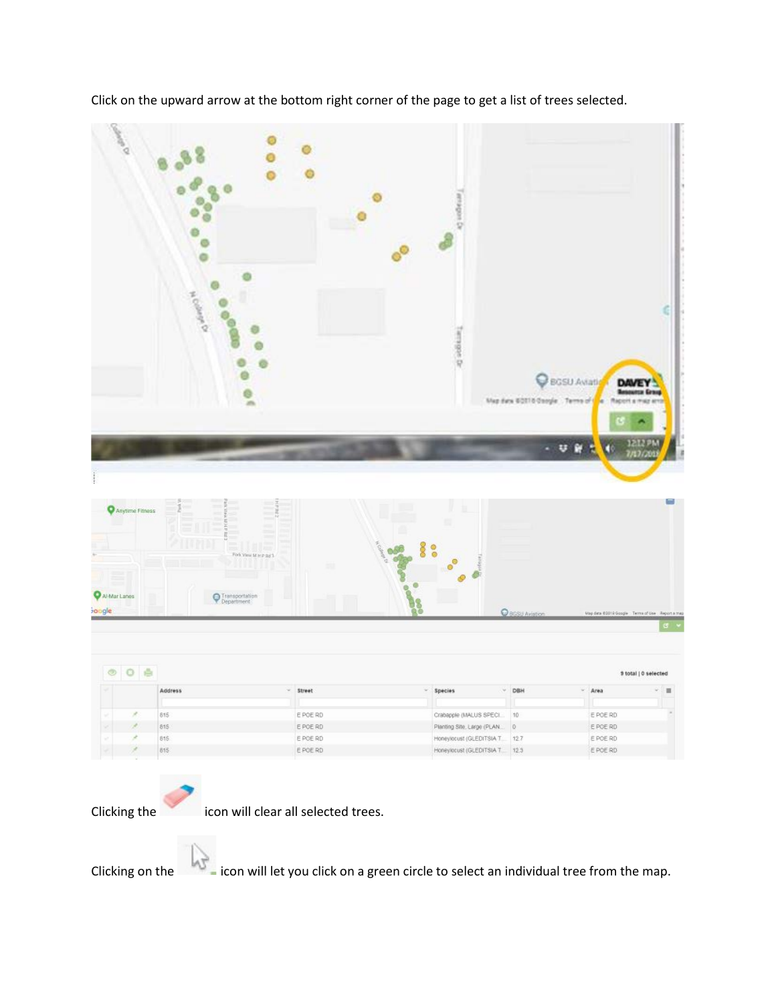| Called O                                  | <b>COOM</b><br>ans.                         |          | anaders De<br>Tamped Dr                                |                                     | <b>C</b> BGSU Avratic<br><b>DAVEY</b><br>Map data 60118 Gargle Terms of Ca<br>Report at |                                |
|-------------------------------------------|---------------------------------------------|----------|--------------------------------------------------------|-------------------------------------|-----------------------------------------------------------------------------------------|--------------------------------|
|                                           |                                             |          |                                                        |                                     |                                                                                         | <b>INFIN</b>                   |
| Anytime Fitness<br>Al-Mar Lanes<br>boogle | Ē<br>Fork View M H P Bd 3<br>Transportation |          |                                                        | $\bullet$<br><b>O</b> BGSU Aviation | ↓ 前<br>7/17/201<br>Map data (60019 Google): Terms of Use : Report a map                 | E<br>G.                        |
| O <sub>0</sub><br>$\circ$                 | Address                                     | - Street | Species<br>W.                                          | $~\vee$ DBH                         | $-$ Area                                                                                | 9 total   0 selected<br>٥<br>面 |
|                                           |                                             |          |                                                        |                                     |                                                                                         |                                |
| ×                                         | 815                                         | E POE RD | Crabapple (MALUS SPECI                                 | 10                                  | E POE RD                                                                                |                                |
|                                           | 815                                         | E POE RD |                                                        | o.                                  | E POE RD                                                                                |                                |
|                                           | 815.                                        | E POE RD | Planting Site, Large (PLAN<br>Honeylocust (GLEDITSIA T | 12.7                                | E POE RD                                                                                |                                |

Click on the upward arrow at the bottom right corner of the page to get a list of trees selected.

Clicking the icon will clear all selected trees.

Clicking on the icon will let you click on a green circle to select an individual tree from the map.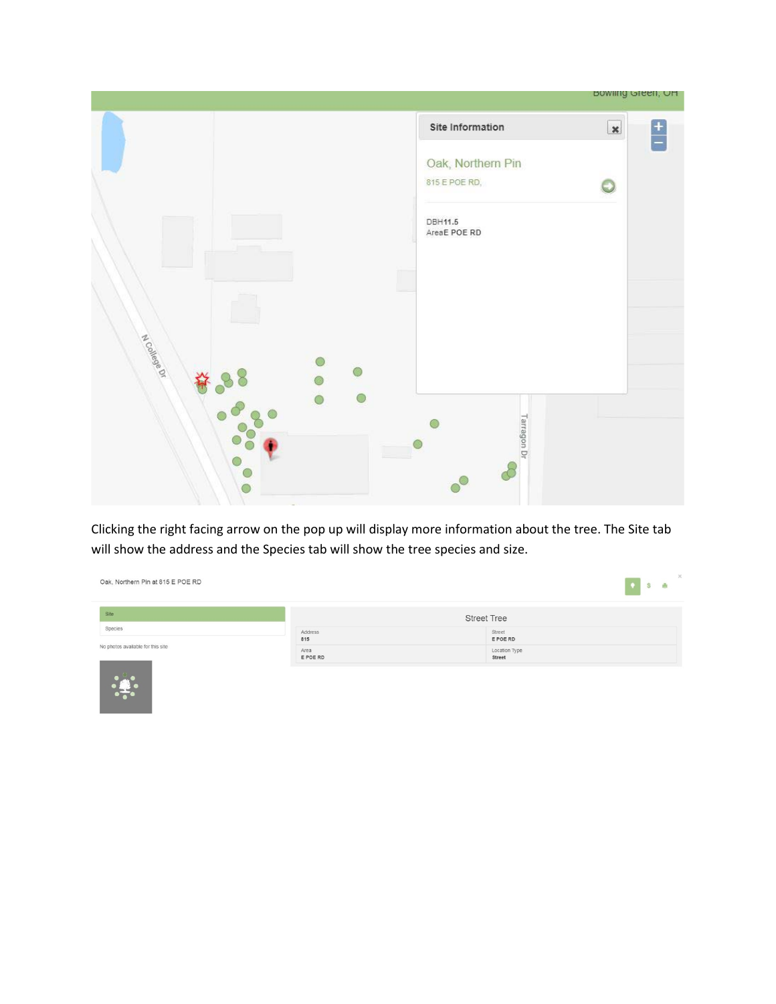|               |                                    | <b>BOWING OTEEN</b> , OH                   |
|---------------|------------------------------------|--------------------------------------------|
|               | Site Information                   | $\boldsymbol{\mathsf{x}}$<br>$\frac{1}{1}$ |
|               | Oak, Northern Pin<br>815 E POE RD, |                                            |
|               | <b>DBH11.5</b><br>AreaE POE RD     |                                            |
|               |                                    |                                            |
| A College Dr  |                                    |                                            |
| $\frac{1}{2}$ |                                    |                                            |
|               | Tarragon Dr                        |                                            |
|               |                                    |                                            |

Clicking the right facing arrow on the pop up will display more information about the tree. The Site tab will show the address and the Species tab will show the tree species and size.

| Site                              |                  | <b>Street Tree</b>      |  |
|-----------------------------------|------------------|-------------------------|--|
| Species                           | Address<br>815   | Street<br>E POE RD      |  |
| No photos available for this site | Area<br>E POE RD | Location Type<br>Street |  |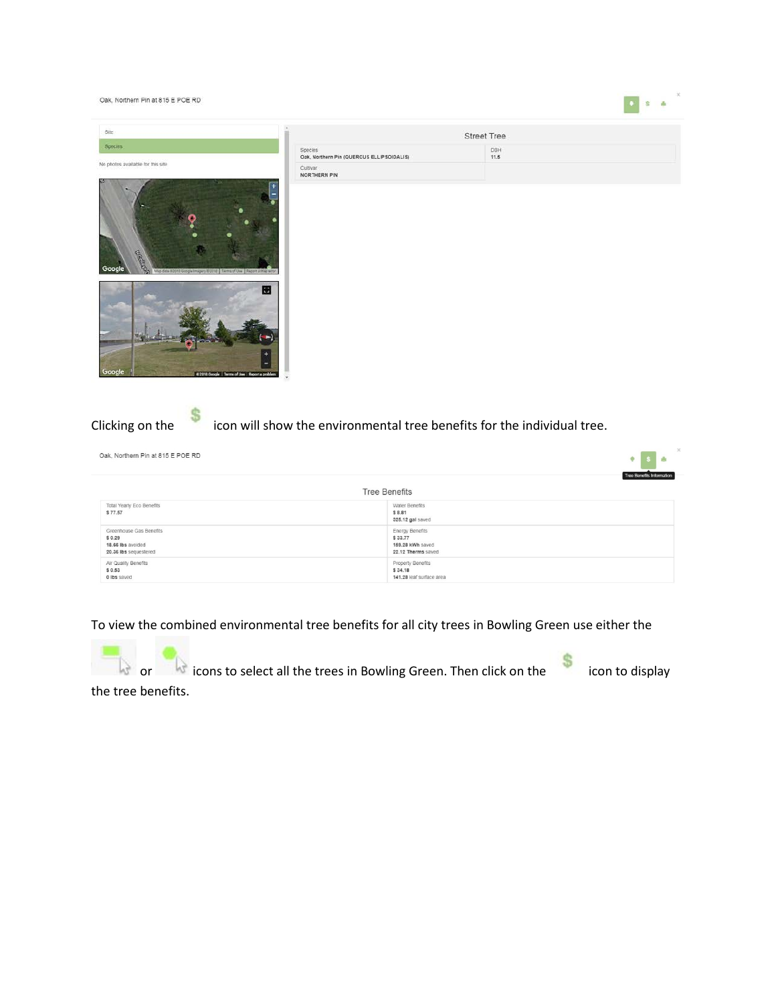Oak, Northern Pin at 815 E POE RD

|                                                                                  |                                                      | Street Tree |  |
|----------------------------------------------------------------------------------|------------------------------------------------------|-------------|--|
| Species:                                                                         | Species<br>Oak, Northern Pin (QUERCUS ELLIPSOIDALIS) | DBH<br>11.5 |  |
| o photos available for this site<br>2020 10:00 Hot 20 700 HOT TV 10:00 HOT A . 0 | Cultivar<br>NORTHERN PIN                             |             |  |
| $\overline{\phantom{a}}$                                                         |                                                      |             |  |

兩

 $|0\rangle$   $|8\rangle$   $|6\rangle$ 



Clicking on the icon will show the environmental tree benefits for the individual tree.

Oak, Northern Pin at 815 E POE RD

|                                                                                 | Tree Benefits Information                                                   |
|---------------------------------------------------------------------------------|-----------------------------------------------------------------------------|
|                                                                                 | <b>Tree Benefits</b>                                                        |
| Total Yearly Eco Benefits<br>\$77.57                                            | Water Benefits<br>\$8.81<br>325.12 gal saved                                |
| Greenhouse Gas Benefits<br>\$0.29<br>18.66 lbs avoided<br>20.36 lbs sequestered | <b>Energy Benefits</b><br>\$33.77<br>159.28 kWh saved<br>22.12 Therms saved |
| Air Quality Benefits<br>\$0.53<br>0 lbs saved                                   | Property Benefits<br>\$34.18<br>141.28 leaf surface area                    |

To view the combined environmental tree benefits for all city trees in Bowling Green use either the

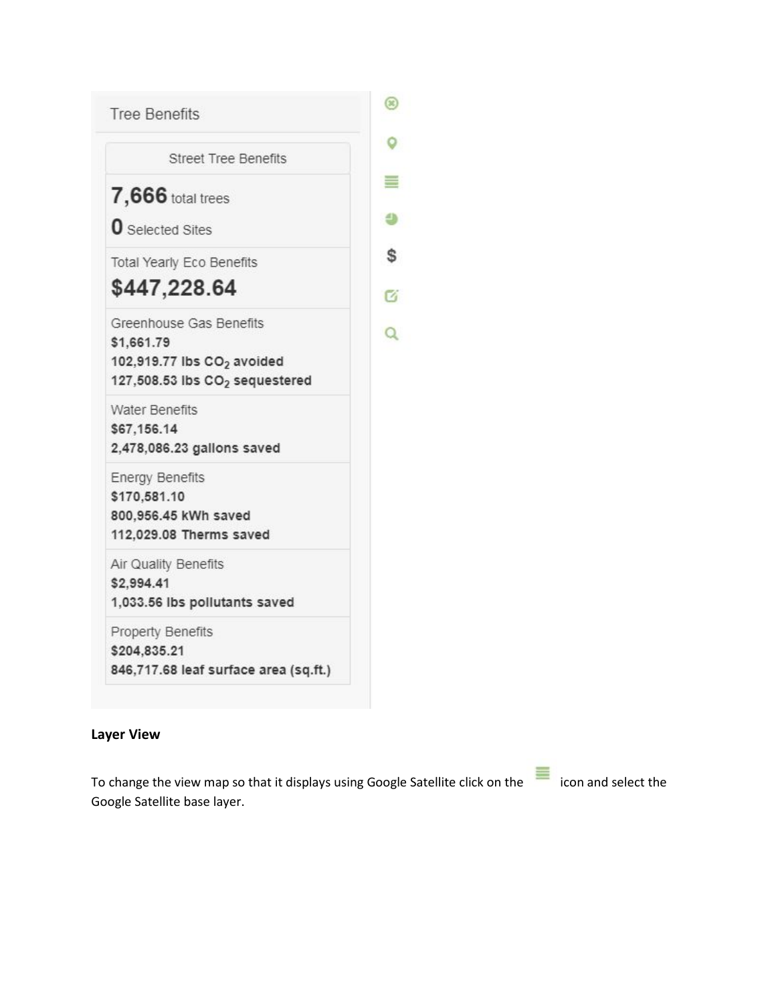

## **Layer View**

To change the view map so that it displays using Google Satellite click on the  $\equiv$  icon and select the Google Satellite base layer.